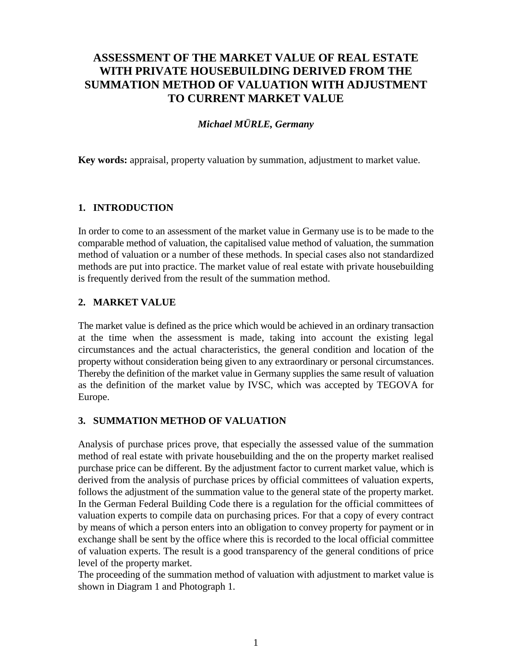# **ASSESSMENT OF THE MARKET VALUE OF REAL ESTATE WITH PRIVATE HOUSEBUILDING DERIVED FROM THE SUMMATION METHOD OF VALUATION WITH ADJUSTMENT TO CURRENT MARKET VALUE**

## *Michael MÜRLE, Germany*

**Key words:** appraisal, property valuation by summation, adjustment to market value.

#### **1. INTRODUCTION**

In order to come to an assessment of the market value in Germany use is to be made to the comparable method of valuation, the capitalised value method of valuation, the summation method of valuation or a number of these methods. In special cases also not standardized methods are put into practice. The market value of real estate with private housebuilding is frequently derived from the result of the summation method.

#### **2. MARKET VALUE**

The market value is defined as the price which would be achieved in an ordinary transaction at the time when the assessment is made, taking into account the existing legal circumstances and the actual characteristics, the general condition and location of the property without consideration being given to any extraordinary or personal circumstances. Thereby the definition of the market value in Germany supplies the same result of valuation as the definition of the market value by IVSC, which was accepted by TEGOVA for Europe.

#### **3. SUMMATION METHOD OF VALUATION**

Analysis of purchase prices prove, that especially the assessed value of the summation method of real estate with private housebuilding and the on the property market realised purchase price can be different. By the adjustment factor to current market value, which is derived from the analysis of purchase prices by official committees of valuation experts, follows the adjustment of the summation value to the general state of the property market. In the German Federal Building Code there is a regulation for the official committees of valuation experts to compile data on purchasing prices. For that a copy of every contract by means of which a person enters into an obligation to convey property for payment or in exchange shall be sent by the office where this is recorded to the local official committee of valuation experts. The result is a good transparency of the general conditions of price level of the property market.

The proceeding of the summation method of valuation with adjustment to market value is shown in Diagram 1 and Photograph 1.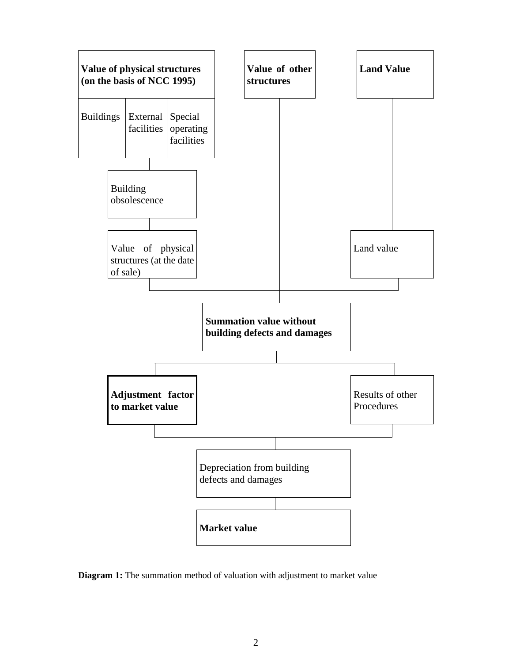

**Diagram 1:** The summation method of valuation with adjustment to market value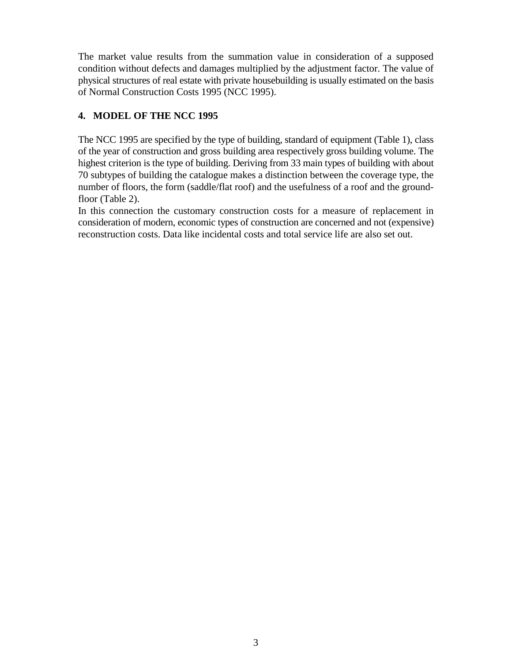The market value results from the summation value in consideration of a supposed condition without defects and damages multiplied by the adjustment factor. The value of physical structures of real estate with private housebuilding is usually estimated on the basis of Normal Construction Costs 1995 (NCC 1995).

## **4. MODEL OF THE NCC 1995**

The NCC 1995 are specified by the type of building, standard of equipment (Table 1), class of the year of construction and gross building area respectively gross building volume. The highest criterion is the type of building. Deriving from 33 main types of building with about 70 subtypes of building the catalogue makes a distinction between the coverage type, the number of floors, the form (saddle/flat roof) and the usefulness of a roof and the groundfloor (Table 2).

In this connection the customary construction costs for a measure of replacement in consideration of modern, economic types of construction are concerned and not (expensive) reconstruction costs. Data like incidental costs and total service life are also set out.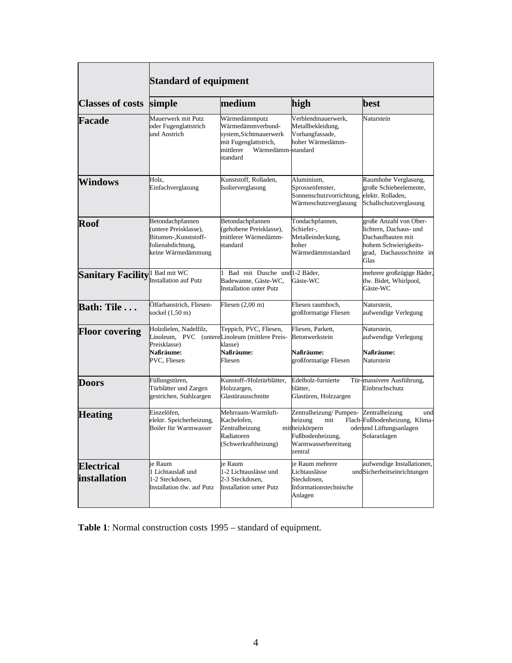|                                   | <b>Standard of equipment</b>                                                                                          |                                                                                                                                      |                                                                                                                  |                                                                                                                                    |  |  |  |
|-----------------------------------|-----------------------------------------------------------------------------------------------------------------------|--------------------------------------------------------------------------------------------------------------------------------------|------------------------------------------------------------------------------------------------------------------|------------------------------------------------------------------------------------------------------------------------------------|--|--|--|
| <b>Classes of costs</b>           | simple                                                                                                                | medium                                                                                                                               | high                                                                                                             | best<br>Naturstein                                                                                                                 |  |  |  |
| Facade                            | Mauerwerk mit Putz<br>oder Fugenglattstrich<br>und Anstrich                                                           | Wärmedämmputz<br>Wärmedämmverbund-<br>system, Sichtmauerwerk<br>mit Fugenglattstrich,<br>mittlerer<br>Wärmedämm-standard<br>standard | Verblendmauerwerk,<br>Metallbekleidung,<br>Vorhangfassade,<br>hoher Wärmedämm-                                   |                                                                                                                                    |  |  |  |
| <b>Windows</b>                    | Holz,<br>Einfachverglasung                                                                                            | Kunststoff, Rolladen,<br>Isolierverglasung                                                                                           | Aluminium,<br>Sprossenfenster,<br>Sonnenschutzvorrichtung,<br>Wärmeschutzverglasung                              | Raumhohe Verglasung,<br>große Schiebeelemente,<br>elektr. Rolladen,<br>Schallschutzverglasung                                      |  |  |  |
| <b>Roof</b>                       | Betondachpfannen<br>(untere Preisklasse),<br>Bitumen-, Kunststoff-<br>folienabdichtung,<br>keine Wärmedämmung         | Betondachpfannen<br>(gehobene Preisklasse),<br>mittlerer Wärmedämm-<br>standard                                                      | Tondachpfannen,<br>Schiefer-,<br>Metalleindeckung,<br>hoher<br>Wärmedämmstandard                                 | große Anzahl von Ober-<br>lichtern, Dachaus- und<br>Dachaufbauten mit<br>hohem Schwierigkeits-<br>grad, Dachausschnitte in<br>Glas |  |  |  |
| <b>Sanitary Facility</b>          | 1 Bad mit WC<br><b>Installation auf Putz</b>                                                                          | Bad mit Dusche und 1-2 Bäder,<br>1<br>Badewanne, Gäste-WC,<br><b>Installation unter Putz</b>                                         | Gäste-WC                                                                                                         | mehrere großzügige Bäder,<br>tlw. Bidet, Whirlpool,<br>Gäste-WC                                                                    |  |  |  |
| <b>Bath: Tile</b>                 | Ölfarbanstrich, Fliesen-<br>sockel (1,50 m)                                                                           | Fliesen $(2,00 \text{ m})$                                                                                                           | Fliesen raumhoch,<br>großformatige Fliesen                                                                       | Naturstein,<br>aufwendige Verlegung                                                                                                |  |  |  |
| <b>Floor covering</b>             | Holzdielen, Nadelfilz,<br>Linoleum, PVC (untereLinoleum (mittlere Preis-<br>Preisklasse)<br>Naßräume:<br>PVC, Fliesen | Teppich, PVC, Fliesen,<br>klasse)<br>Naßräume:<br>Fliesen                                                                            | Fliesen, Parkett,<br>Betonwerkstein<br>Naßräume:<br>großformatige Fliesen                                        | Naturstein,<br>aufwendige Verlegung<br><b>Naßräume:</b><br>Naturstein                                                              |  |  |  |
| <b>Doors</b>                      | Füllungstüren,<br>Türblätter und Zargen<br>gestrichen, Stahlzargen                                                    | Kunstoff-/Holztürblätter,<br>Holzzargen,<br>Glastürausschnitte                                                                       | Edelholz-furnierte<br>blätter,<br>Glastüren, Holzzargen                                                          | Tür-massivere Ausführung,<br>Einbruchschutz                                                                                        |  |  |  |
| <b>Heating</b>                    | Einzelöfen.<br>elektr. Speicherheizung,<br>Boiler für Warmwasser                                                      | Mehrraum-Warmluft-<br>Kachelofen,<br>Zentralheizung<br>Radiatoren<br>(Schwerkraftheizung)                                            | Zentralheizung/Pumpen-<br>heizung<br>mit<br>mitheizkörpern<br>Fußbodenheizung.<br>Warmwasserbereitung<br>zentral | Zentralheizung<br>und<br>Flach-Fußbodenheizung, Klima-<br>oderund Lüftungsanlagen<br>Solaranlagen                                  |  |  |  |
| <b>Electrical</b><br>installation | je Raum<br>1 Lichtauslaß und<br>1-2 Steckdosen,<br>Installation tlw. auf Putz                                         | je Raum<br>1-2 Lichtauslässe und<br>2-3 Steckdosen,<br><b>Installation unter Putz</b>                                                | je Raum mehrere<br>Lichtauslässe<br>Steckdosen,<br>Informationstechnische<br>Anlagen                             | aufwendige Installationen,<br>undSicherheitseinrichtungen                                                                          |  |  |  |

**Table 1**: Normal construction costs 1995 – standard of equipment.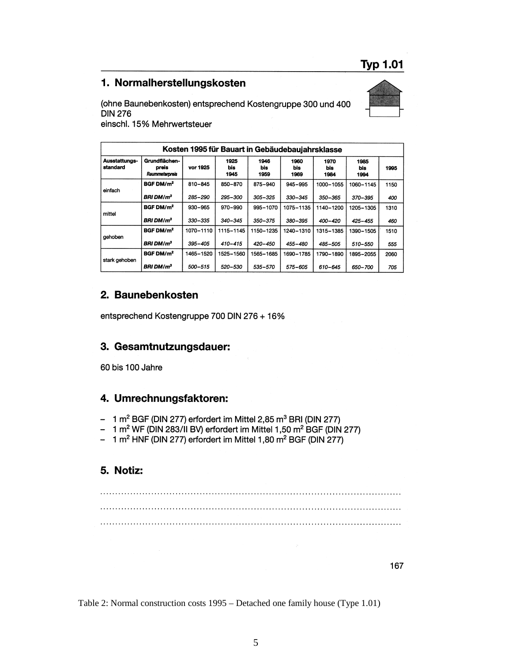#### 1. Normalherstellungskosten





einschl. 15% Mehrwertsteuer

| Kosten 1995 für Bauart in Gebäudebaujahrsklasse |                                          |             |                     |                     |                     |                     |                     |      |  |
|-------------------------------------------------|------------------------------------------|-------------|---------------------|---------------------|---------------------|---------------------|---------------------|------|--|
| Ausstattungs-<br>standard                       | Grundflächen-<br>preis<br>Raummeterpreis | vor 1925    | 1925<br>bis<br>1945 | 1946<br>bis<br>1959 | 1960<br>bis<br>1969 | 1970<br>bis<br>1984 | 1985<br>bis<br>1994 | 1995 |  |
| einfach                                         | BGF DM/m <sup>2</sup>                    | 810-845     | 850-870             | 875-940             | 945-995             | 1000-1055           | 1060-1145           | 1150 |  |
|                                                 | <b>BRI DM/m<sup>3</sup></b>              | 285-290     | 295-300             | 305-325             | 330-345             | 350-365             | 370-395             | 400  |  |
| mittel                                          | BGF DM/m <sup>2</sup>                    | $930 - 965$ | 970-990             | 995-1070            | 1075-1135           | 1140-1200           | 1205-1305           | 1310 |  |
|                                                 | <b>BRI DM/m<sup>3</sup></b>              | 330-335     | $340 - 345$         | 350-375             | 380-395             | 400-420             | $425 - 455$         | 460  |  |
| gehoben                                         | BGF DM/m <sup>2</sup>                    | 1070-1110   | 1115-1145           | 1150-1235           | 1240-1310           | 1315-1385           | 1390-1505           | 1510 |  |
|                                                 | <b>BRI DM/m<sup>3</sup></b>              | 395-405     | $410 - 415$         | 420-450             | 455-480             | 485-505             | 510-550             | 555  |  |
| stark gehoben                                   | BGF DM/m <sup>2</sup>                    | 1465-1520   | 1525-1560           | 1565-1685           | 1690-1785           | 1790-1890           | 1895-2055           | 2060 |  |
|                                                 | <b>BRI DM/m<sup>3</sup></b>              | 500-515     | 520-530             | 535-570             | 575-605             | 610-645             | 650-700             | 705  |  |

#### 2. Baunebenkosten

entsprechend Kostengruppe 700 DIN 276 + 16%

# 3. Gesamtnutzungsdauer:

60 bis 100 Jahre

#### 4. Umrechnungsfaktoren:

- $-1$  m<sup>2</sup> BGF (DIN 277) erfordert im Mittel 2,85 m<sup>3</sup> BRI (DIN 277)
- 1 m<sup>2</sup> WF (DIN 283/II BV) erfordert im Mittel 1,50 m<sup>2</sup> BGF (DIN 277)
- 1 m<sup>2</sup> HNF (DIN 277) erfordert im Mittel 1,80 m<sup>2</sup> BGF (DIN 277)  $\overline{\phantom{m}}$

#### 5. Notiz:

167

Table 2: Normal construction costs 1995 – Detached one family house (Type 1.01)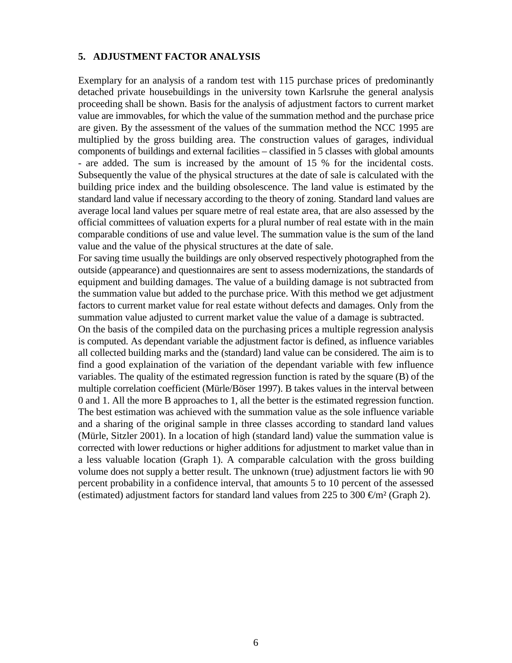#### **5. ADJUSTMENT FACTOR ANALYSIS**

Exemplary for an analysis of a random test with 115 purchase prices of predominantly detached private housebuildings in the university town Karlsruhe the general analysis proceeding shall be shown. Basis for the analysis of adjustment factors to current market value are immovables, for which the value of the summation method and the purchase price are given. By the assessment of the values of the summation method the NCC 1995 are multiplied by the gross building area. The construction values of garages, individual components of buildings and external facilities – classified in 5 classes with global amounts - are added. The sum is increased by the amount of 15 % for the incidental costs. Subsequently the value of the physical structures at the date of sale is calculated with the building price index and the building obsolescence. The land value is estimated by the standard land value if necessary according to the theory of zoning. Standard land values are average local land values per square metre of real estate area, that are also assessed by the official committees of valuation experts for a plural number of real estate with in the main comparable conditions of use and value level. The summation value is the sum of the land value and the value of the physical structures at the date of sale.

For saving time usually the buildings are only observed respectively photographed from the outside (appearance) and questionnaires are sent to assess modernizations, the standards of equipment and building damages. The value of a building damage is not subtracted from the summation value but added to the purchase price. With this method we get adjustment factors to current market value for real estate without defects and damages. Only from the summation value adjusted to current market value the value of a damage is subtracted.

On the basis of the compiled data on the purchasing prices a multiple regression analysis is computed. As dependant variable the adjustment factor is defined, as influence variables all collected building marks and the (standard) land value can be considered. The aim is to find a good explaination of the variation of the dependant variable with few influence variables. The quality of the estimated regression function is rated by the square (B) of the multiple correlation coefficient (Mürle/Böser 1997). B takes values in the interval between 0 and 1. All the more B approaches to 1, all the better is the estimated regression function. The best estimation was achieved with the summation value as the sole influence variable and a sharing of the original sample in three classes according to standard land values (Mürle, Sitzler 2001). In a location of high (standard land) value the summation value is corrected with lower reductions or higher additions for adjustment to market value than in a less valuable location (Graph 1). A comparable calculation with the gross building volume does not supply a better result. The unknown (true) adjustment factors lie with 90 percent probability in a confidence interval, that amounts 5 to 10 percent of the assessed (estimated) adjustment factors for standard land values from 225 to 300  $\text{Im}^2$  (Graph 2).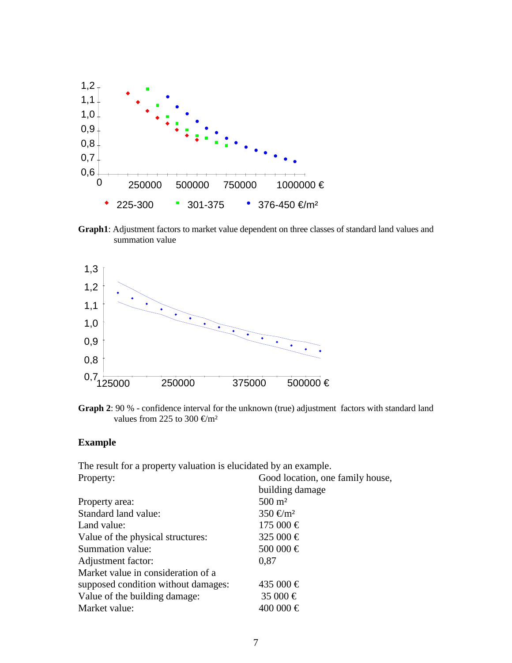

**Graph1**: Adjustment factors to market value dependent on three classes of standard land values and summation value



**Graph 2**: 90 % - confidence interval for the unknown (true) adjustment factors with standard land values from 225 to 300  $\text{\textsterling}m^2$ 

#### **Example**

The result for a property valuation is elucidated by an example. Property: Good location, one family house,

|                                     | building damage       |  |  |
|-------------------------------------|-----------------------|--|--|
| Property area:                      | $500 \; \mathrm{m}^2$ |  |  |
| Standard land value:                | $350 \, \text{m}^2$   |  |  |
| Land value:                         | $175000 \in$          |  |  |
| Value of the physical structures:   | 325 000 €             |  |  |
| Summation value:                    | 500 000 €             |  |  |
| Adjustment factor:                  | 0.87                  |  |  |
| Market value in consideration of a  |                       |  |  |
| supposed condition without damages: | 435 000 €             |  |  |
| Value of the building damage:       | 35 000 €              |  |  |
| Market value:                       | 400 000 €             |  |  |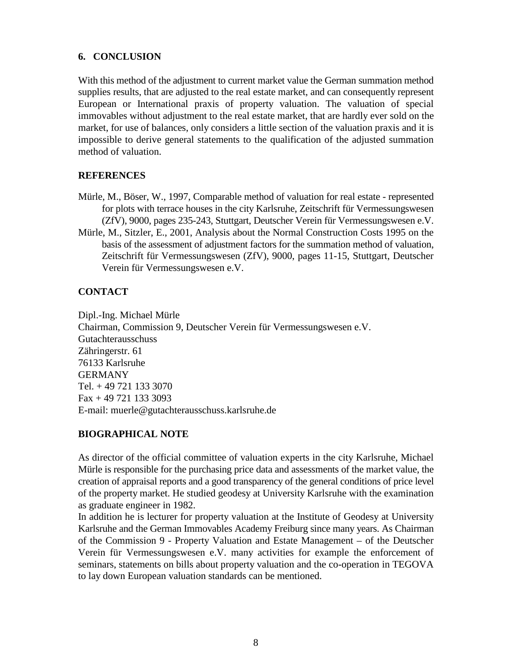#### **6. CONCLUSION**

With this method of the adjustment to current market value the German summation method supplies results, that are adjusted to the real estate market, and can consequently represent European or International praxis of property valuation. The valuation of special immovables without adjustment to the real estate market, that are hardly ever sold on the market, for use of balances, only considers a little section of the valuation praxis and it is impossible to derive general statements to the qualification of the adjusted summation method of valuation.

# **REFERENCES**

- Mürle, M., Böser, W., 1997, Comparable method of valuation for real estate represented for plots with terrace houses in the city Karlsruhe, Zeitschrift für Vermessungswesen (ZfV), 9000, pages 235-243, Stuttgart, Deutscher Verein für Vermessungswesen e.V.
- Mürle, M., Sitzler, E., 2001, Analysis about the Normal Construction Costs 1995 on the basis of the assessment of adjustment factors for the summation method of valuation, Zeitschrift für Vermessungswesen (ZfV), 9000, pages 11-15, Stuttgart, Deutscher Verein für Vermessungswesen e.V.

#### **CONTACT**

Dipl.-Ing. Michael Mürle Chairman, Commission 9, Deutscher Verein für Vermessungswesen e.V. Gutachterausschuss Zähringerstr. 61 76133 Karlsruhe GERMANY Tel. + 49 721 133 3070 Fax + 49 721 133 3093 E-mail: muerle@gutachterausschuss.karlsruhe.de

#### **BIOGRAPHICAL NOTE**

As director of the official committee of valuation experts in the city Karlsruhe, Michael Mürle is responsible for the purchasing price data and assessments of the market value, the creation of appraisal reports and a good transparency of the general conditions of price level of the property market. He studied geodesy at University Karlsruhe with the examination as graduate engineer in 1982.

In addition he is lecturer for property valuation at the Institute of Geodesy at University Karlsruhe and the German Immovables Academy Freiburg since many years. As Chairman of the Commission 9 - Property Valuation and Estate Management – of the Deutscher Verein für Vermessungswesen e.V. many activities for example the enforcement of seminars, statements on bills about property valuation and the co-operation in TEGOVA to lay down European valuation standards can be mentioned.